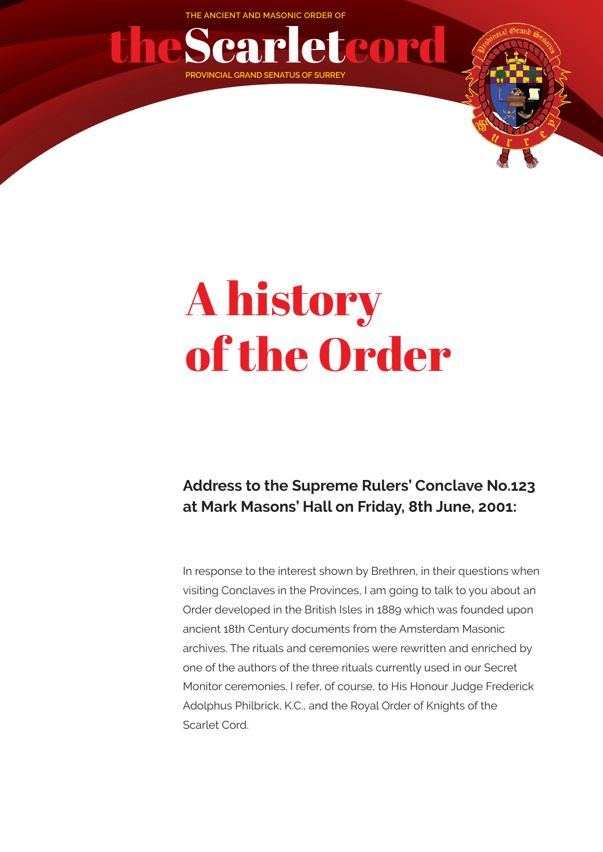**THE ANCIENT AND MASONIC ORDER OF**



## A history of the Order

## **Address to the Supreme Rulers' Conclave No.123 at Mark Masons' Hall on Friday, 8th June, 2001:**

In response to the interest shown by Brethren, in their questions when visiting Conclaves in the Provinces, I am going to talk to you about an Order developed in the British Isles in 1889 which was founded upon ancient 18th Century documents from the Amsterdam Masonic archives. The rituals and ceremonies were rewritten and enriched by one of the authors of the three rituals currently used in our Secret Monitor ceremonies. I refer, of course, to His Honour Judge Frederick Adolphus Philbrick, K.C., and the Royal Order of Knights of the Scarlet Cord.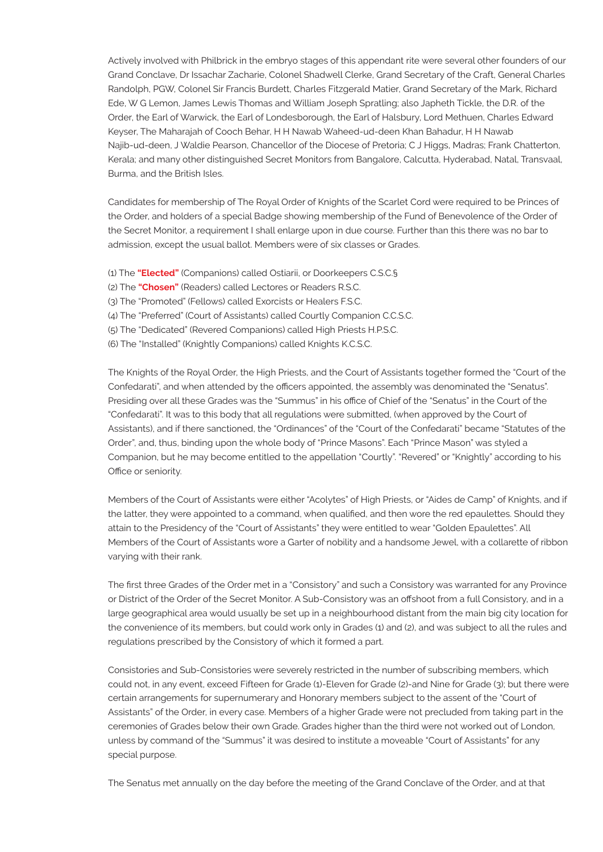Actively involved with Philbrick in the embryo stages of this appendant rite were several other founders of our Grand Conclave, Dr Issachar Zacharie, Colonel Shadwell Clerke, Grand Secretary of the Craft, General Charles Randolph, PGW, Colonel Sir Francis Burdett, Charles Fitzgerald Matier, Grand Secretary of the Mark, Richard Ede, W G Lemon, James Lewis Thomas and William Joseph Spratling; also Japheth Tickle, the D.R. of the Order, the Earl of Warwick, the Earl of Londesborough, the Earl of Halsbury, Lord Methuen, Charles Edward Keyser, The Maharajah of Cooch Behar, H H Nawab Waheed-ud-deen Khan Bahadur, H H Nawab Najib-ud-deen, J Waldie Pearson, Chancellor of the Diocese of Pretoria; C J Higgs, Madras; Frank Chatterton, Kerala; and many other distinguished Secret Monitors from Bangalore, Calcutta, Hyderabad, Natal, Transvaal, Burma, and the British Isles.

Candidates for membership of The Royal Order of Knights of the Scarlet Cord were required to be Princes of the Order, and holders of a special Badge showing membership of the Fund of Benevolence of the Order of the Secret Monitor, a requirement I shall enlarge upon in due course. Further than this there was no bar to admission, except the usual ballot. Members were of six classes or Grades.

- (1) The **"Elected"** (Companions) called Ostiarii, or Doorkeepers C.S.C.§
- (2) The **"Chosen"** (Readers) called Lectores or Readers R.S.C.
- (3) The "Promoted" (Fellows) called Exorcists or Healers F.S.C.
- (4) The "Preferred" (Court of Assistants) called Courtly Companion C.C.S.C.
- (5) The "Dedicated" (Revered Companions) called High Priests H.P.S.C.
- (6) The "Installed" (Knightly Companions) called Knights K.C.S.C.

The Knights of the Royal Order, the High Priests, and the Court of Assistants together formed the "Court of the Confedarati", and when attended by the officers appointed, the assembly was denominated the "Senatus". Presiding over all these Grades was the "Summus" in his office of Chief of the "Senatus" in the Court of the "Confedarati". It was to this body that all regulations were submitted, (when approved by the Court of Assistants), and if there sanctioned, the "Ordinances" of the "Court of the Confedarati" became "Statutes of the Order", and, thus, binding upon the whole body of "Prince Masons". Each "Prince Mason" was styled a Companion, but he may become entitled to the appellation "Courtly". "Revered" or "Knightly" according to his Office or seniority.

Members of the Court of Assistants were either "Acolytes" of High Priests, or "Aides de Camp" of Knights, and if the latter, they were appointed to a command, when qualified, and then wore the red epaulettes. Should they attain to the Presidency of the "Court of Assistants" they were entitled to wear "Golden Epaulettes". All Members of the Court of Assistants wore a Garter of nobility and a handsome Jewel, with a collarette of ribbon varying with their rank.

The first three Grades of the Order met in a "Consistory" and such a Consistory was warranted for any Province or District of the Order of the Secret Monitor. A Sub-Consistory was an offshoot from a full Consistory, and in a large geographical area would usually be set up in a neighbourhood distant from the main big city location for the convenience of its members, but could work only in Grades (1) and (2), and was subject to all the rules and regulations prescribed by the Consistory of which it formed a part.

Consistories and Sub-Consistories were severely restricted in the number of subscribing members, which could not, in any event, exceed Fifteen for Grade (1)-Eleven for Grade (2)-and Nine for Grade (3); but there were certain arrangements for supernumerary and Honorary members subject to the assent of the "Court of Assistants" of the Order, in every case. Members of a higher Grade were not precluded from taking part in the ceremonies of Grades below their own Grade. Grades higher than the third were not worked out of London, unless by command of the "Summus" it was desired to institute a moveable "Court of Assistants" for any special purpose.

The Senatus met annually on the day before the meeting of the Grand Conclave of the Order, and at that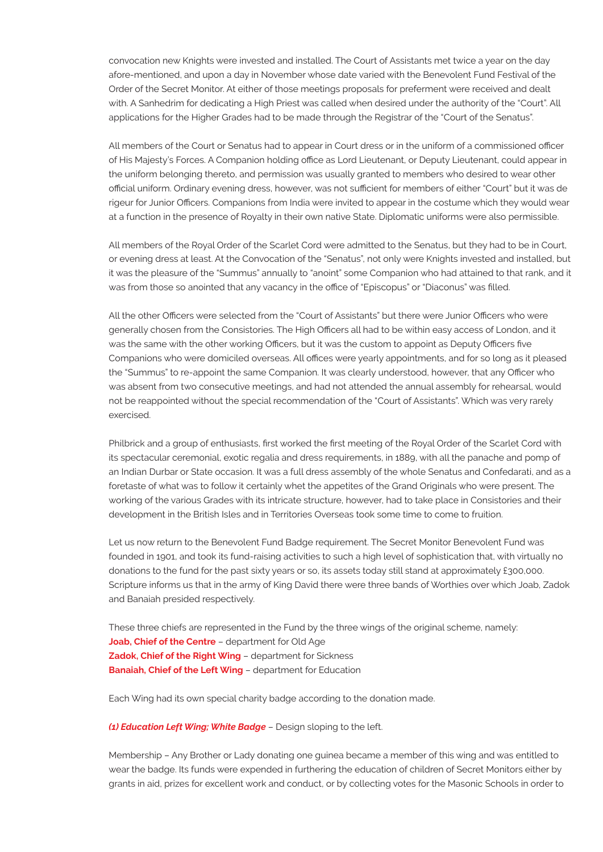convocation new Knights were invested and installed. The Court of Assistants met twice a year on the day afore-mentioned, and upon a day in November whose date varied with the Benevolent Fund Festival of the Order of the Secret Monitor. At either of those meetings proposals for preferment were received and dealt with. A Sanhedrim for dedicating a High Priest was called when desired under the authority of the "Court". All applications for the Higher Grades had to be made through the Registrar of the "Court of the Senatus".

All members of the Court or Senatus had to appear in Court dress or in the uniform of a commissioned officer of His Majesty's Forces. A Companion holding office as Lord Lieutenant, or Deputy Lieutenant, could appear in the uniform belonging thereto, and permission was usually granted to members who desired to wear other official uniform. Ordinary evening dress, however, was not sufficient for members of either "Court" but it was de rigeur for Junior Officers. Companions from India were invited to appear in the costume which they would wear at a function in the presence of Royalty in their own native State. Diplomatic uniforms were also permissible.

All members of the Royal Order of the Scarlet Cord were admitted to the Senatus, but they had to be in Court, or evening dress at least. At the Convocation of the "Senatus", not only were Knights invested and installed, but it was the pleasure of the "Summus" annually to "anoint" some Companion who had attained to that rank, and it was from those so anointed that any vacancy in the office of "Episcopus" or "Diaconus" was filled.

All the other Officers were selected from the "Court of Assistants" but there were Junior Officers who were generally chosen from the Consistories. The High Officers all had to be within easy access of London, and it was the same with the other working Officers, but it was the custom to appoint as Deputy Officers five Companions who were domiciled overseas. All offices were yearly appointments, and for so long as it pleased the "Summus" to re-appoint the same Companion. It was clearly understood, however, that any Officer who was absent from two consecutive meetings, and had not attended the annual assembly for rehearsal, would not be reappointed without the special recommendation of the "Court of Assistants". Which was very rarely exercised.

Philbrick and a group of enthusiasts, first worked the first meeting of the Royal Order of the Scarlet Cord with its spectacular ceremonial, exotic regalia and dress requirements, in 1889, with all the panache and pomp of an Indian Durbar or State occasion. It was a full dress assembly of the whole Senatus and Confedarati, and as a foretaste of what was to follow it certainly whet the appetites of the Grand Originals who were present. The working of the various Grades with its intricate structure, however, had to take place in Consistories and their development in the British Isles and in Territories Overseas took some time to come to fruition.

Let us now return to the Benevolent Fund Badge requirement. The Secret Monitor Benevolent Fund was founded in 1901, and took its fund-raising activities to such a high level of sophistication that, with virtually no donations to the fund for the past sixty years or so, its assets today still stand at approximately £300,000. Scripture informs us that in the army of King David there were three bands of Worthies over which Joab, Zadok and Banaiah presided respectively.

These three chiefs are represented in the Fund by the three wings of the original scheme, namely: **Joab, Chief of the Centre** – department for Old Age **Zadok, Chief of the Right Wing** – department for Sickness **Banaiah, Chief of the Left Wing** – department for Education

Each Wing had its own special charity badge according to the donation made.

*(1) Education Left Wing; White Badge* – Design sloping to the left.

Membership – Any Brother or Lady donating one guinea became a member of this wing and was entitled to wear the badge. Its funds were expended in furthering the education of children of Secret Monitors either by grants in aid, prizes for excellent work and conduct, or by collecting votes for the Masonic Schools in order to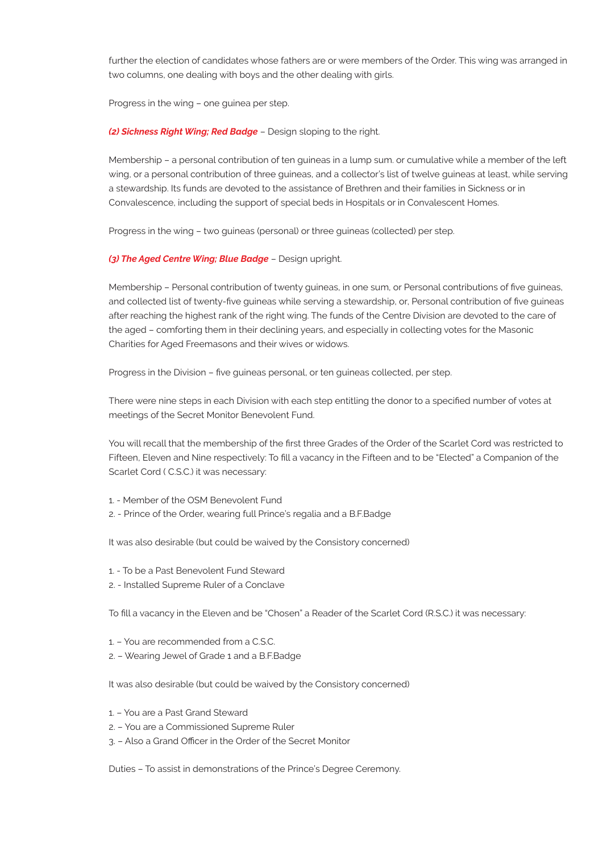further the election of candidates whose fathers are or were members of the Order. This wing was arranged in two columns, one dealing with boys and the other dealing with girls.

Progress in the wing – one guinea per step.

*(2) Sickness Right Wing; Red Badge* – Design sloping to the right.

Membership – a personal contribution of ten guineas in a lump sum. or cumulative while a member of the left wing, or a personal contribution of three guineas, and a collector's list of twelve guineas at least, while serving a stewardship. Its funds are devoted to the assistance of Brethren and their families in Sickness or in Convalescence, including the support of special beds in Hospitals or in Convalescent Homes.

Progress in the wing – two guineas (personal) or three guineas (collected) per step.

*(3) The Aged Centre Wing; Blue Badge* – Design upright.

Membership – Personal contribution of twenty guineas, in one sum, or Personal contributions of five guineas, and collected list of twenty-five guineas while serving a stewardship, or, Personal contribution of five guineas after reaching the highest rank of the right wing. The funds of the Centre Division are devoted to the care of the aged – comforting them in their declining years, and especially in collecting votes for the Masonic Charities for Aged Freemasons and their wives or widows.

Progress in the Division – five guineas personal, or ten guineas collected, per step.

There were nine steps in each Division with each step entitling the donor to a specified number of votes at meetings of the Secret Monitor Benevolent Fund.

You will recall that the membership of the first three Grades of the Order of the Scarlet Cord was restricted to Fifteen, Eleven and Nine respectively: To fill a vacancy in the Fifteen and to be "Elected" a Companion of the Scarlet Cord ( C.S.C.) it was necessary:

1. - Member of the OSM Benevolent Fund

2. - Prince of the Order, wearing full Prince's regalia and a B.F.Badge

It was also desirable (but could be waived by the Consistory concerned)

- 1. To be a Past Benevolent Fund Steward
- 2. Installed Supreme Ruler of a Conclave

To fill a vacancy in the Eleven and be "Chosen" a Reader of the Scarlet Cord (R.S.C.) it was necessary:

- 1. You are recommended from a C.S.C.
- 2. Wearing Jewel of Grade 1 and a B.F.Badge

It was also desirable (but could be waived by the Consistory concerned)

- 1. You are a Past Grand Steward
- 2. You are a Commissioned Supreme Ruler
- 3. Also a Grand Officer in the Order of the Secret Monitor

Duties – To assist in demonstrations of the Prince's Degree Ceremony.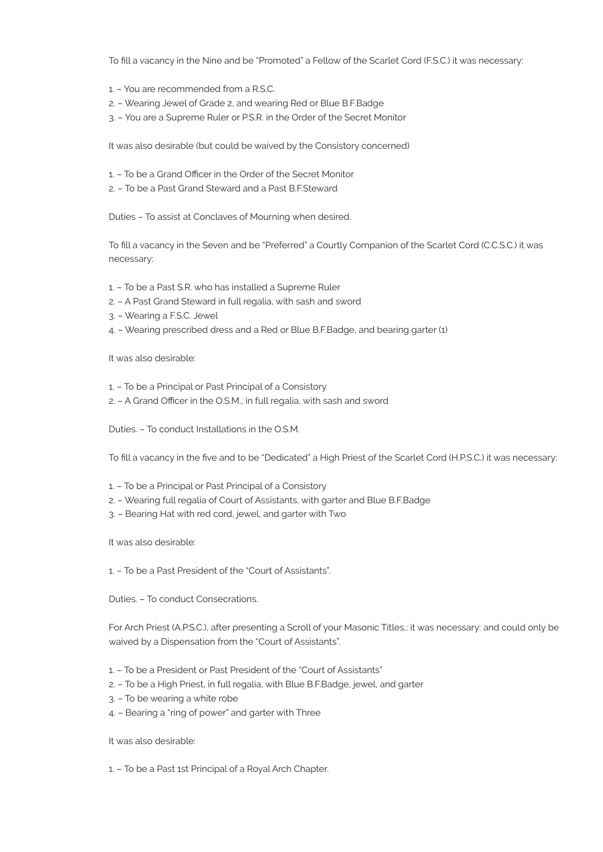To fill a vacancy in the Nine and be "Promoted" a Fellow of the Scarlet Cord (F.S.C.) it was necessary:

- 1. You are recommended from a R.S.C.
- 2. Wearing Jewel of Grade 2, and wearing Red or Blue B.F.Badge
- 3. You are a Supreme Ruler or P.S.R. in the Order of the Secret Monitor

It was also desirable (but could be waived by the Consistory concerned)

- 1. To be a Grand Officer in the Order of the Secret Monitor
- 2. To be a Past Grand Steward and a Past B.F.Steward

Duties – To assist at Conclaves of Mourning when desired.

To fill a vacancy in the Seven and be "Preferred" a Courtly Companion of the Scarlet Cord (C.C.S.C.) it was necessary:

- 1. To be a Past S.R. who has installed a Supreme Ruler
- 2. A Past Grand Steward in full regalia, with sash and sword
- 3. Wearing a F.S.C. Jewel
- 4. Wearing prescribed dress and a Red or Blue B.F.Badge, and bearing garter (1)

It was also desirable:

- 1. To be a Principal or Past Principal of a Consistory
- 2. A Grand Officer in the O.S.M., in full regalia, with sash and sword

Duties. – To conduct Installations in the O.S.M.

To fill a vacancy in the five and to be "Dedicated" a High Priest of the Scarlet Cord (H.P.S.C.) it was necessary:

- 1. To be a Principal or Past Principal of a Consistory
- 2. Wearing full regalia of Court of Assistants, with garter and Blue B.F.Badge
- 3. Bearing Hat with red cord, jewel, and garter with Two

It was also desirable:

1. – To be a Past President of the "Court of Assistants".

Duties. – To conduct Consecrations.

For Arch Priest (A.P.S.C.), after presenting a Scroll of your Masonic Titles,: it was necessary: and could only be waived by a Dispensation from the "Court of Assistants".

- 1. To be a President or Past President of the "Court of Assistants"
- 2. To be a High Priest, in full regalia, with Blue B.F.Badge, jewel, and garter
- 3. To be wearing a white robe
- 4. Bearing a "ring of power" and garter with Three

It was also desirable:

1. – To be a Past 1st Principal of a Royal Arch Chapter.